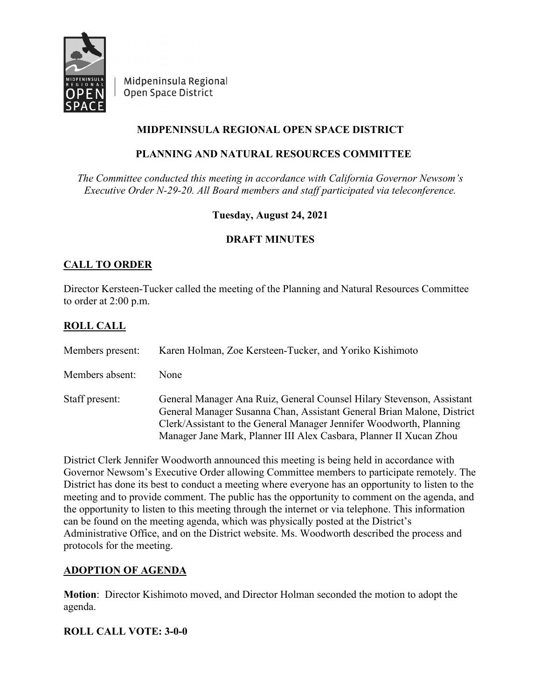

Midpeninsula Regional Open Space District

# **MIDPENINSULA REGIONAL OPEN SPACE DISTRICT**

# **PLANNING AND NATURAL RESOURCES COMMITTEE**

*The Committee conducted this meeting in accordance with California Governor Newsom's Executive Order N-29-20. All Board members and staff participated via teleconference.*

**Tuesday, August 24, 2021**

## **DRAFT MINUTES**

# **CALL TO ORDER**

Director Kersteen-Tucker called the meeting of the Planning and Natural Resources Committee to order at 2:00 p.m.

## **ROLL CALL**

| Members present: | Karen Holman, Zoe Kersteen-Tucker, and Yoriko Kishimoto                                                                                                                                                                                                                                      |
|------------------|----------------------------------------------------------------------------------------------------------------------------------------------------------------------------------------------------------------------------------------------------------------------------------------------|
| Members absent:  | None                                                                                                                                                                                                                                                                                         |
| Staff present:   | General Manager Ana Ruiz, General Counsel Hilary Stevenson, Assistant<br>General Manager Susanna Chan, Assistant General Brian Malone, District<br>Clerk/Assistant to the General Manager Jennifer Woodworth, Planning<br>Manager Jane Mark, Planner III Alex Casbara, Planner II Xucan Zhou |

District Clerk Jennifer Woodworth announced this meeting is being held in accordance with Governor Newsom's Executive Order allowing Committee members to participate remotely. The District has done its best to conduct a meeting where everyone has an opportunity to listen to the meeting and to provide comment. The public has the opportunity to comment on the agenda, and the opportunity to listen to this meeting through the internet or via telephone. This information can be found on the meeting agenda, which was physically posted at the District's Administrative Office, and on the District website. Ms. Woodworth described the process and protocols for the meeting.

## **ADOPTION OF AGENDA**

**Motion**: Director Kishimoto moved, and Director Holman seconded the motion to adopt the agenda.

## **ROLL CALL VOTE: 3-0-0**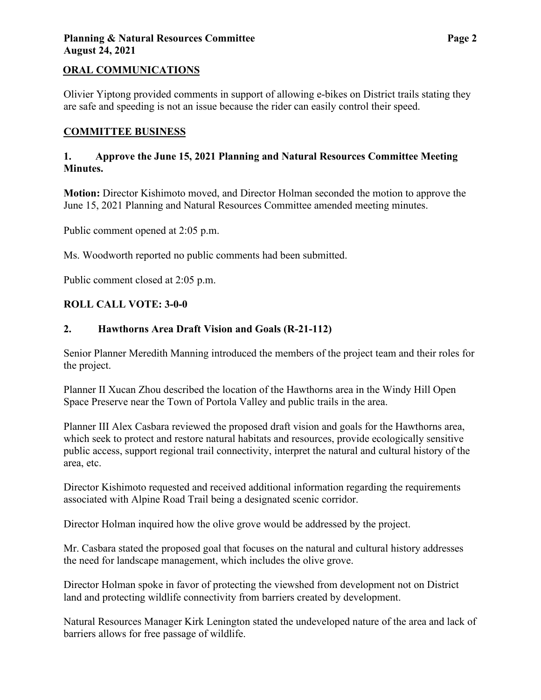## **Planning & Natural Resources Committee**  Page 2 **August 24, 2021**

## **ORAL COMMUNICATIONS**

Olivier Yiptong provided comments in support of allowing e-bikes on District trails stating they are safe and speeding is not an issue because the rider can easily control their speed.

#### **COMMITTEE BUSINESS**

### **1. Approve the June 15, 2021 Planning and Natural Resources Committee Meeting Minutes.**

**Motion:** Director Kishimoto moved, and Director Holman seconded the motion to approve the June 15, 2021 Planning and Natural Resources Committee amended meeting minutes.

Public comment opened at 2:05 p.m.

Ms. Woodworth reported no public comments had been submitted.

Public comment closed at 2:05 p.m.

### **ROLL CALL VOTE: 3-0-0**

### **2. Hawthorns Area Draft Vision and Goals (R-21-112)**

Senior Planner Meredith Manning introduced the members of the project team and their roles for the project.

Planner II Xucan Zhou described the location of the Hawthorns area in the Windy Hill Open Space Preserve near the Town of Portola Valley and public trails in the area.

Planner III Alex Casbara reviewed the proposed draft vision and goals for the Hawthorns area, which seek to protect and restore natural habitats and resources, provide ecologically sensitive public access, support regional trail connectivity, interpret the natural and cultural history of the area, etc.

Director Kishimoto requested and received additional information regarding the requirements associated with Alpine Road Trail being a designated scenic corridor.

Director Holman inquired how the olive grove would be addressed by the project.

Mr. Casbara stated the proposed goal that focuses on the natural and cultural history addresses the need for landscape management, which includes the olive grove.

Director Holman spoke in favor of protecting the viewshed from development not on District land and protecting wildlife connectivity from barriers created by development.

Natural Resources Manager Kirk Lenington stated the undeveloped nature of the area and lack of barriers allows for free passage of wildlife.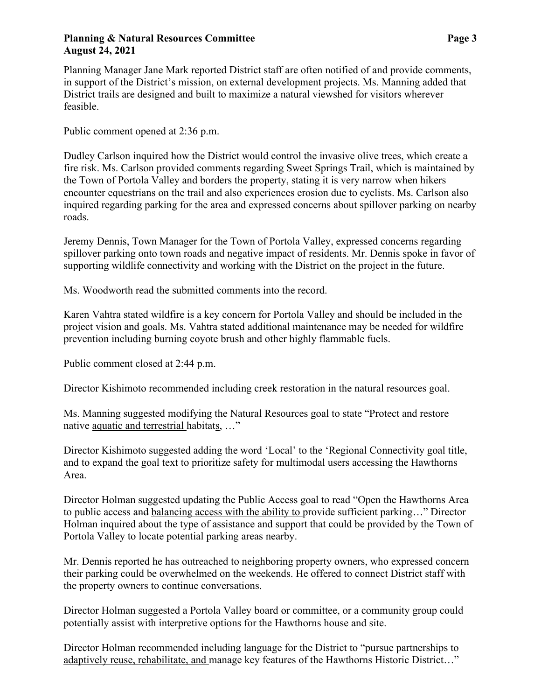### **Planning & Natural Resources Committee**  Page 3 **August 24, 2021**

Planning Manager Jane Mark reported District staff are often notified of and provide comments, in support of the District's mission, on external development projects. Ms. Manning added that District trails are designed and built to maximize a natural viewshed for visitors wherever feasible.

Public comment opened at 2:36 p.m.

Dudley Carlson inquired how the District would control the invasive olive trees, which create a fire risk. Ms. Carlson provided comments regarding Sweet Springs Trail, which is maintained by the Town of Portola Valley and borders the property, stating it is very narrow when hikers encounter equestrians on the trail and also experiences erosion due to cyclists. Ms. Carlson also inquired regarding parking for the area and expressed concerns about spillover parking on nearby roads.

Jeremy Dennis, Town Manager for the Town of Portola Valley, expressed concerns regarding spillover parking onto town roads and negative impact of residents. Mr. Dennis spoke in favor of supporting wildlife connectivity and working with the District on the project in the future.

Ms. Woodworth read the submitted comments into the record.

Karen Vahtra stated wildfire is a key concern for Portola Valley and should be included in the project vision and goals. Ms. Vahtra stated additional maintenance may be needed for wildfire prevention including burning coyote brush and other highly flammable fuels.

Public comment closed at 2:44 p.m.

Director Kishimoto recommended including creek restoration in the natural resources goal.

Ms. Manning suggested modifying the Natural Resources goal to state "Protect and restore native aquatic and terrestrial habitats, …"

Director Kishimoto suggested adding the word 'Local' to the 'Regional Connectivity goal title, and to expand the goal text to prioritize safety for multimodal users accessing the Hawthorns Area.

Director Holman suggested updating the Public Access goal to read "Open the Hawthorns Area to public access and balancing access with the ability to provide sufficient parking…" Director Holman inquired about the type of assistance and support that could be provided by the Town of Portola Valley to locate potential parking areas nearby.

Mr. Dennis reported he has outreached to neighboring property owners, who expressed concern their parking could be overwhelmed on the weekends. He offered to connect District staff with the property owners to continue conversations.

Director Holman suggested a Portola Valley board or committee, or a community group could potentially assist with interpretive options for the Hawthorns house and site.

Director Holman recommended including language for the District to "pursue partnerships to adaptively reuse, rehabilitate, and manage key features of the Hawthorns Historic District…"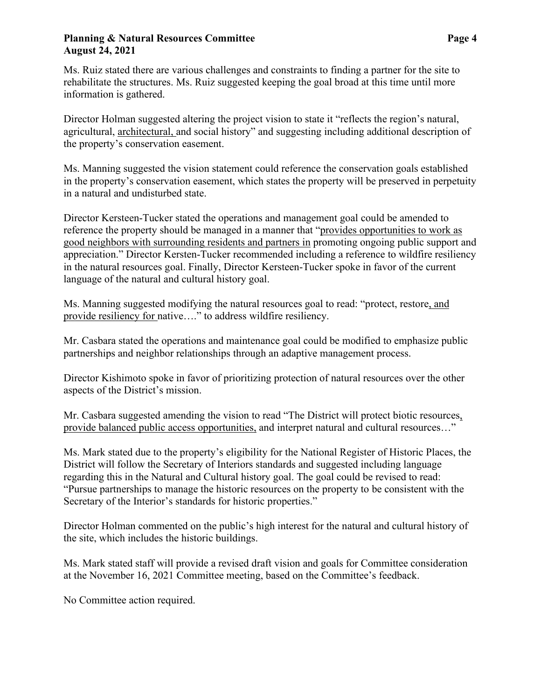### **Planning & Natural Resources Committee**  Page 4 **August 24, 2021**

Ms. Ruiz stated there are various challenges and constraints to finding a partner for the site to rehabilitate the structures. Ms. Ruiz suggested keeping the goal broad at this time until more information is gathered.

Director Holman suggested altering the project vision to state it "reflects the region's natural, agricultural, architectural, and social history" and suggesting including additional description of the property's conservation easement.

Ms. Manning suggested the vision statement could reference the conservation goals established in the property's conservation easement, which states the property will be preserved in perpetuity in a natural and undisturbed state.

Director Kersteen-Tucker stated the operations and management goal could be amended to reference the property should be managed in a manner that "provides opportunities to work as good neighbors with surrounding residents and partners in promoting ongoing public support and appreciation." Director Kersten-Tucker recommended including a reference to wildfire resiliency in the natural resources goal. Finally, Director Kersteen-Tucker spoke in favor of the current language of the natural and cultural history goal.

Ms. Manning suggested modifying the natural resources goal to read: "protect, restore, and provide resiliency for native…." to address wildfire resiliency.

Mr. Casbara stated the operations and maintenance goal could be modified to emphasize public partnerships and neighbor relationships through an adaptive management process.

Director Kishimoto spoke in favor of prioritizing protection of natural resources over the other aspects of the District's mission.

Mr. Casbara suggested amending the vision to read "The District will protect biotic resources, provide balanced public access opportunities, and interpret natural and cultural resources…"

Ms. Mark stated due to the property's eligibility for the National Register of Historic Places, the District will follow the Secretary of Interiors standards and suggested including language regarding this in the Natural and Cultural history goal. The goal could be revised to read: "Pursue partnerships to manage the historic resources on the property to be consistent with the Secretary of the Interior's standards for historic properties."

Director Holman commented on the public's high interest for the natural and cultural history of the site, which includes the historic buildings.

Ms. Mark stated staff will provide a revised draft vision and goals for Committee consideration at the November 16, 2021 Committee meeting, based on the Committee's feedback.

No Committee action required.